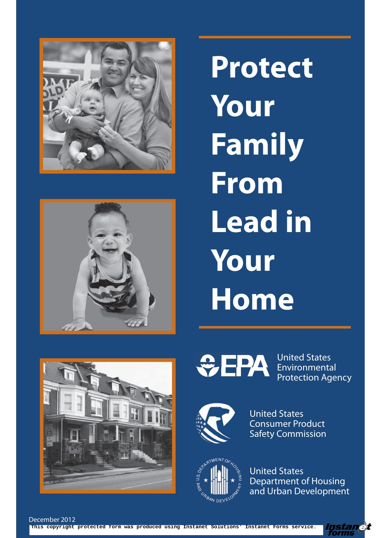



**Protect Your Family From Lead in Your Home**





United States Environmental Protection Agency



United States Consumer Product Safety Commission



United States Department of Housing and Urban Development

December 2012 **This copyright protected form was produced using Instanet Solutions' Instanet Forms service.**

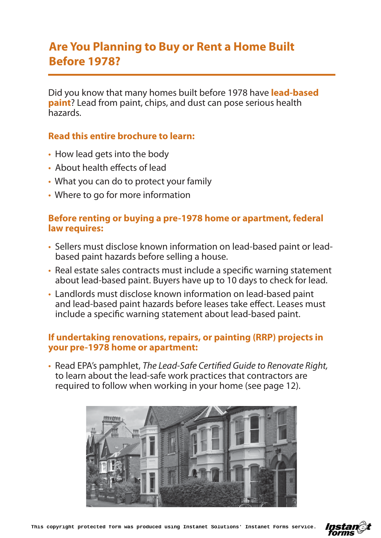# **Are You Planning to Buy or Rent a Home Built Before 1978?**

Did you know that many homes built before 1978 have **lead-based paint**? Lead from paint, chips, and dust can pose serious health hazards.

#### **Read this entire brochure to learn:**

- $\cdot$  How lead gets into the body
- About health effects of lead
- What you can do to protect your family
- Where to go for more information

#### **Before renting or buying a pre-1978 home or apartment, federal law requires:**

- Sellers must disclose known information on lead-based paint or leadbased paint hazards before selling a house.
- Real estate sales contracts must include a specific warning statement about lead-based paint. Buyers have up to 10 days to check for lead.
- Landlords must disclose known information on lead-based paint and lead-based paint hazards before leases take effect. Leases must include a specific warning statement about lead-based paint.

### **If undertaking renovations, repairs, or painting (RRP) projects in your pre-1978 home or apartment:**

• Read EPA's pamphlet, The Lead-Safe Certified Guide to Renovate Right, to learn about the lead-safe work practices that contractors are required to follow when working in your home (see page 12).



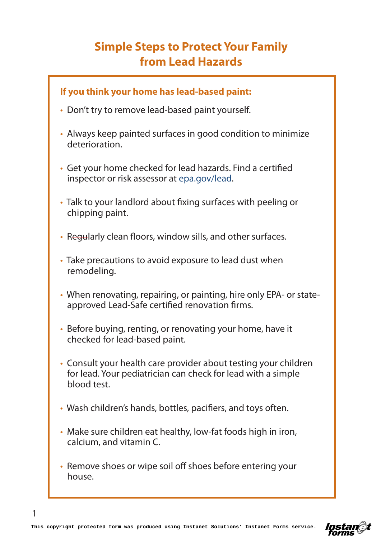# **Simple Steps to Protect Your Family from Lead Hazards**

# **If you think your home has lead-based paint:** • Don't try to remove lead-based paint yourself. • Always keep painted surfaces in good condition to minimize deterioration. • Get your home checked for lead hazards. Find a certified inspector or risk assessor at epa.gov/lead. • Talk to your landlord about fixing surfaces with peeling or chipping paint.

- Regularly clean floors, window sills, and other surfaces.
- Take precautions to avoid exposure to lead dust when remodeling.
- When renovating, repairing, or painting, hire only EPA- or stateapproved Lead-Safe certified renovation firms.
- Before buying, renting, or renovating your home, have it checked for lead-based paint.
- Consult your health care provider about testing your children for lead. Your pediatrician can check for lead with a simple blood test.
- Wash children's hands, bottles, pacifiers, and toys often.
- Make sure children eat healthy, low-fat foods high in iron, calcium, and vitamin C.
- Remove shoes or wipe soil off shoes before entering your house.

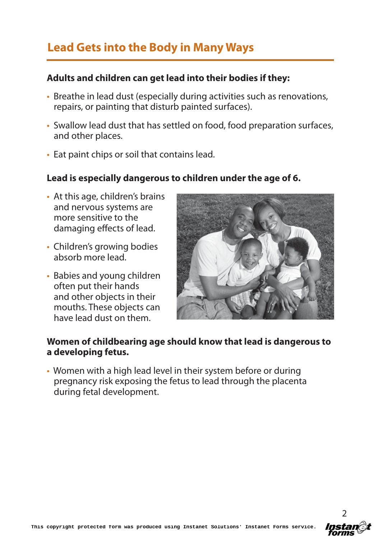# **Lead Gets into the Body in Many Ways**

### **Adults and children can get lead into their bodies if they:**

- Breathe in lead dust (especially during activities such as renovations, repairs, or painting that disturb painted surfaces).
- Swallow lead dust that has settled on food, food preparation surfaces, and other places.
- Eat paint chips or soil that contains lead.

### **Lead is especially dangerous to children under the age of 6.**

- At this age, children's brains and nervous systems are more sensitive to the damaging effects of lead.
- Children's growing bodies absorb more lead.
- Babies and young children often put their hands and other objects in their mouths. These objects can have lead dust on them.



### **Women of childbearing age should know that lead is dangerous to a developing fetus.**

• Women with a high lead level in their system before or during pregnancy risk exposing the fetus to lead through the placenta during fetal development.

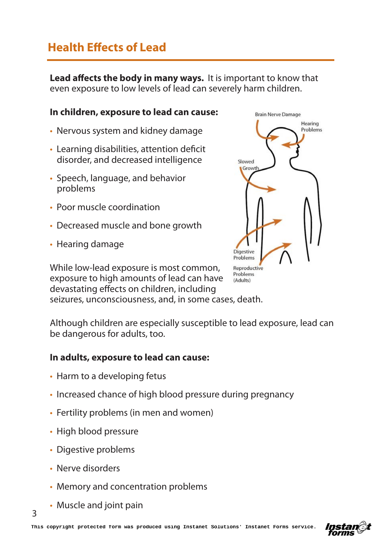# **Health Effects of Lead**

**Lead affects the body in many ways.** It is important to know that even exposure to low levels of lead can severely harm children.

### **In children, exposure to lead can cause:**

- Nervous system and kidney damage
- Learning disabilities, attention deficit disorder, and decreased intelligence
- Speech, language, and behavior problems
- Poor muscle coordination
- Decreased muscle and bone growth
- $\cdot$  Hearing damage

While low-lead exposure is most common, exposure to high amounts of lead can have devastating effects on children, including seizures, unconsciousness, and, in some cases, death.



Although children are especially susceptible to lead exposure, lead can be dangerous for adults, too.

### **In adults, exposure to lead can cause:**

- Harm to a developing fetus
- Increased chance of high blood pressure during pregnancy
- Fertility problems (in men and women)
- High blood pressure
- Digestive problems
- Nerve disorders
- Memory and concentration problems
- Muscle and joint pain

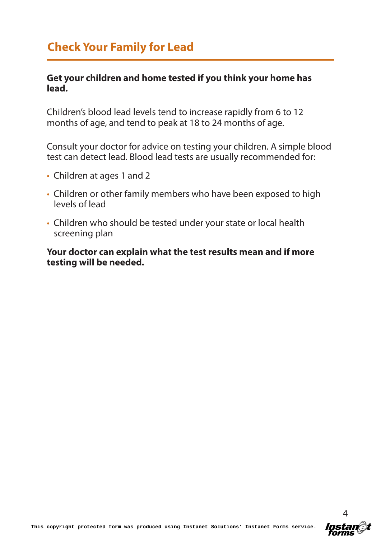# **Check Your Family for Lead**

### **Get your children and home tested if you think your home has lead.**

Children's blood lead levels tend to increase rapidly from 6 to 12 months of age, and tend to peak at 18 to 24 months of age.

Consult your doctor for advice on testing your children. A simple blood test can detect lead. Blood lead tests are usually recommended for:

- Children at ages 1 and 2
- Children or other family members who have been exposed to high levels of lead
- Children who should be tested under your state or local health screening plan

**Your doctor can explain what the test results mean and if more testing will be needed.**

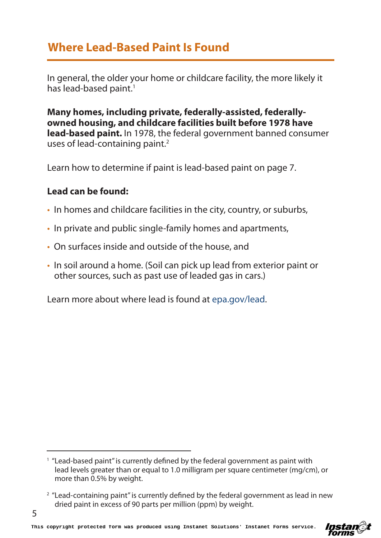# **Where Lead-Based Paint Is Found**

In general, the older your home or childcare facility, the more likely it has lead-based paint.<sup>1</sup>

**Many homes, including private, federally-assisted, federallyowned housing, and childcare facilities built before 1978 have lead-based paint.** In 1978, the federal government banned consumer uses of lead-containing paint.<sup>2</sup>

Learn how to determine if paint is lead-based paint on page 7.

### **Lead can be found:**

- In homes and childcare facilities in the city, country, or suburbs,
- In private and public single-family homes and apartments,
- $\cdot$  On surfaces inside and outside of the house, and
- In soil around a home. (Soil can pick up lead from exterior paint or other sources, such as past use of leaded gas in cars.)

Learn more about where lead is found at epa.gov/lead.

<sup>&</sup>lt;sup>2</sup> "Lead-containing paint" is currently defined by the federal government as lead in new dried paint in excess of 90 parts per million (ppm) by weight.



<sup>&</sup>lt;sup>1</sup> "Lead-based paint" is currently defined by the federal government as paint with lead levels greater than or equal to 1.0 milligram per square centimeter (mg/cm), or more than 0.5% by weight.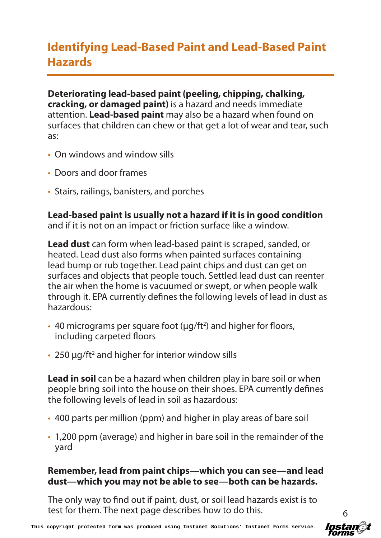# **Identifying Lead-Based Paint and Lead-Based Paint Hazards**

**Deteriorating lead-based paint (peeling, chipping, chalking, cracking, or damaged paint)** is a hazard and needs immediate attention. **Lead-based paint** may also be a hazard when found on surfaces that children can chew or that get a lot of wear and tear, such as:

- $\cdot$  On windows and window sills
- Doors and door frames
- Stairs, railings, banisters, and porches

**Lead-based paint is usually not a hazard if it is in good condition** and if it is not on an impact or friction surface like a window.

**Lead dust** can form when lead-based paint is scraped, sanded, or heated. Lead dust also forms when painted surfaces containing lead bump or rub together. Lead paint chips and dust can get on surfaces and objects that people touch. Settled lead dust can reenter the air when the home is vacuumed or swept, or when people walk through it. EPA currently defines the following levels of lead in dust as hazardous:

- 40 micrograms per square foot  $(\mu g / ft^2)$  and higher for floors, including carpeted floors
- $\cdot$  250  $\mu$ g/ft<sup>2</sup> and higher for interior window sills

**Lead in soil** can be a hazard when children play in bare soil or when people bring soil into the house on their shoes. EPA currently defines the following levels of lead in soil as hazardous:

- 400 parts per million (ppm) and higher in play areas of bare soil
- 1,200 ppm (average) and higher in bare soil in the remainder of the yard

### **Remember, lead from paint chips—which you can see—and lead dust—which you may not be able to see—both can be hazards.**

The only way to find out if paint, dust, or soil lead hazards exist is to test for them. The next page describes how to do this. 6

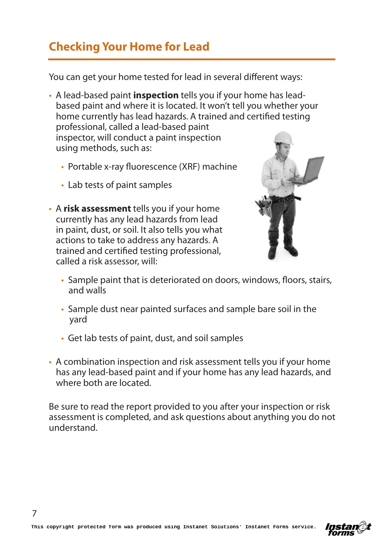# **Checking Your Home for Lead**

You can get your home tested for lead in several different ways:

- A lead-based paint **inspection** tells you if your home has leadbased paint and where it is located. It won't tell you whether your home currently has lead hazards. A trained and certified testing professional, called a lead-based paint inspector, will conduct a paint inspection using methods, such as:
	- Portable x-ray fluorescence (XRF) machine
	- Lab tests of paint samples
- **A risk assessment** tells you if your home currently has any lead hazards from lead in paint, dust, or soil. It also tells you what actions to take to address any hazards. A trained and certified testing professional, called a risk assessor, will:



- Sample paint that is deteriorated on doors, windows, floors, stairs, and walls
- Sample dust near painted surfaces and sample bare soil in the yard
- Get lab tests of paint, dust, and soil samples
- A combination inspection and risk assessment tells you if your home has any lead-based paint and if your home has any lead hazards, and where both are located.

Be sure to read the report provided to you after your inspection or risk assessment is completed, and ask questions about anything you do not understand.

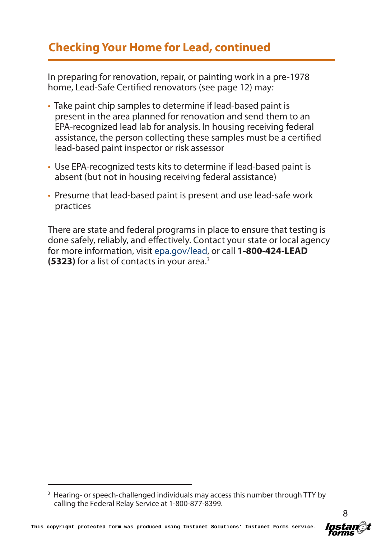# **Checking Your Home for Lead, continued**

In preparing for renovation, repair, or painting work in a pre-1978 home, Lead-Safe Certified renovators (see page 12) may:

- Take paint chip samples to determine if lead-based paint is present in the area planned for renovation and send them to an EPA-recognized lead lab for analysis. In housing receiving federal assistance, the person collecting these samples must be a certified lead-based paint inspector or risk assessor
- Use EPA-recognized tests kits to determine if lead-based paint is absent (but not in housing receiving federal assistance)
- Presume that lead-based paint is present and use lead-safe work practices

There are state and federal programs in place to ensure that testing is done safely, reliably, and effectively. Contact your state or local agency for more information, visit epa.gov/lead, or call **1-800-424-LEAD (5323)** for a list of contacts in your area.3

<sup>&</sup>lt;sup>3</sup> Hearing- or speech-challenged individuals may access this number through TTY by calling the Federal Relay Service at 1-800-877-8399.

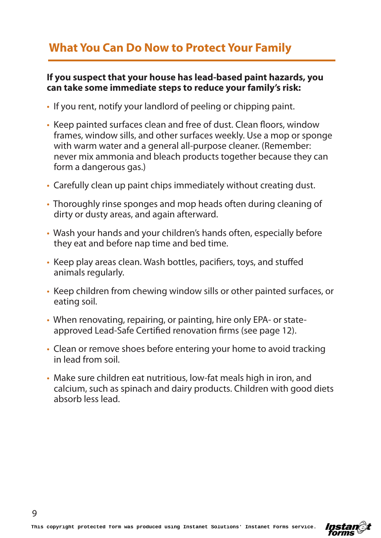# **What You Can Do Now to Protect Your Family**

#### **If you suspect that your house has lead-based paint hazards, you can take some immediate steps to reduce your family's risk:**

- If you rent, notify your landlord of peeling or chipping paint.
- Keep painted surfaces clean and free of dust. Clean floors, window frames, window sills, and other surfaces weekly. Use a mop or sponge with warm water and a general all-purpose cleaner. (Remember: never mix ammonia and bleach products together because they can form a dangerous gas.)
- Carefully clean up paint chips immediately without creating dust.
- Thoroughly rinse sponges and mop heads often during cleaning of dirty or dusty areas, and again afterward.
- Wash your hands and your children's hands often, especially before they eat and before nap time and bed time.
- Keep play areas clean. Wash bottles, pacifiers, toys, and stuffed animals regularly.
- Keep children from chewing window sills or other painted surfaces, or eating soil.
- When renovating, repairing, or painting, hire only EPA- or stateapproved Lead-Safe Certified renovation firms (see page 12).
- Clean or remove shoes before entering your home to avoid tracking in lead from soil.
- Make sure children eat nutritious, low-fat meals high in iron, and calcium, such as spinach and dairy products. Children with good diets absorb less lead.

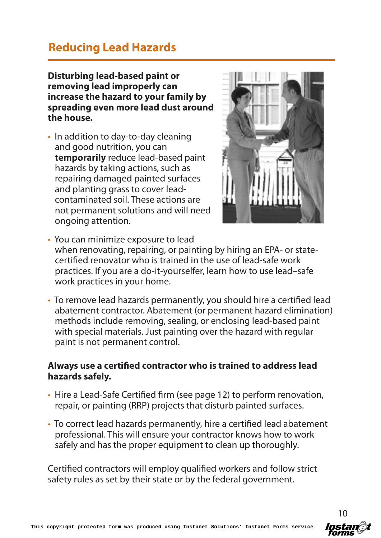# **Reducing Lead Hazards**

**Disturbing lead-based paint or removing lead improperly can increase the hazard to your family by spreading even more lead dust around the house.**

 $\cdot$  In addition to day-to-day cleaning and good nutrition, you can **temporarily** reduce lead-based paint hazards by taking actions, such as repairing damaged painted surfaces and planting grass to cover leadcontaminated soil. These actions are not permanent solutions and will need ongoing attention.



- You can minimize exposure to lead when renovating, repairing, or painting by hiring an EPA- or statecertified renovator who is trained in the use of lead-safe work practices. If you are a do-it-yourselfer, learn how to use lead–safe work practices in your home.
- To remove lead hazards permanently, you should hire a certified lead abatement contractor. Abatement (or permanent hazard elimination) methods include removing, sealing, or enclosing lead-based paint with special materials. Just painting over the hazard with regular paint is not permanent control.

### **Always use a certified contractor who is trained to address lead hazards safely.**

- Hire a Lead-Safe Certified firm (see page 12) to perform renovation, repair, or painting (RRP) projects that disturb painted surfaces.
- To correct lead hazards permanently, hire a certified lead abatement professional. This will ensure your contractor knows how to work safely and has the proper equipment to clean up thoroughly.

Certified contractors will employ qualified workers and follow strict safety rules as set by their state or by the federal government.

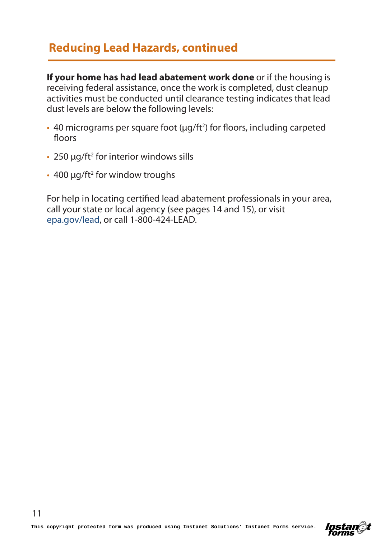# **Reducing Lead Hazards, continued**

**If your home has had lead abatement work done** or if the housing is receiving federal assistance, once the work is completed, dust cleanup activities must be conducted until clearance testing indicates that lead dust levels are below the following levels:

- 40 micrograms per square foot  $(\mu g / ft^2)$  for floors, including carpeted floors
- 250  $\mu$ g/ft<sup>2</sup> for interior windows sills
- $\cdot$  400  $\mu$ g/ft<sup>2</sup> for window troughs

For help in locating certified lead abatement professionals in your area, call your state or local agency (see pages 14 and 15), or visit epa.gov/lead, or call 1-800-424-LEAD.

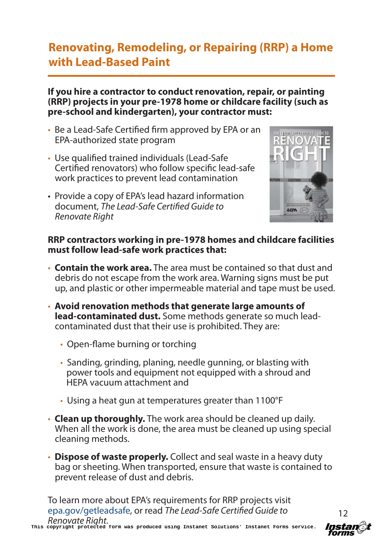# **Renovating, Remodeling, or Repairing (RRP) a Home with Lead-Based Paint**

### **If you hire a contractor to conduct renovation, repair, or painting (RRP) projects in your pre-1978 home or childcare facility (such as pre-school and kindergarten), your contractor must:**

- Be a Lead-Safe Certified firm approved by EPA or an EPA-authorized state program
- Use qualified trained individuals (Lead-Safe Certified renovators) who follow specific lead-safe work practices to prevent lead contamination
- Provide a copy of EPA's lead hazard information document, The Lead-Safe Certified Guide to Renovate Right



### **RRP contractors working in pre-1978 homes and childcare facilities must follow lead-safe work practices that:**

- **Contain the work area.** The area must be contained so that dust and debris do not escape from the work area. Warning signs must be put up, and plastic or other impermeable material and tape must be used.
- t**Avoid renovation methods that generate large amounts of lead-contaminated dust.** Some methods generate so much leadcontaminated dust that their use is prohibited. They are:
	- Open-flame burning or torching
	- Sanding, grinding, planing, needle gunning, or blasting with power tools and equipment not equipped with a shroud and HEPA vacuum attachment and
	- Using a heat gun at temperatures greater than 1100°F
- **Clean up thoroughly.** The work area should be cleaned up daily. When all the work is done, the area must be cleaned up using special cleaning methods.
- **Dispose of waste properly.** Collect and seal waste in a heavy duty bag or sheeting. When transported, ensure that waste is contained to prevent release of dust and debris.

To learn more about EPA's requirements for RRP projects visit epa.gov/getleadsafe, or read The Lead-Safe Certified Guide to Renovate Right. **This copyright protected form was produced using Instanet Solutions' Instanet Forms service.**

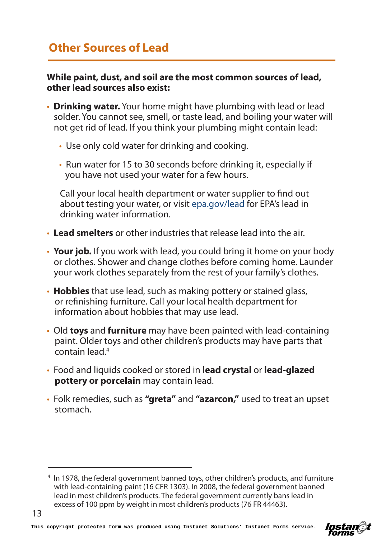# **Other Sources of Lead**

### **While paint, dust, and soil are the most common sources of lead, other lead sources also exist:**

- **Drinking water.** Your home might have plumbing with lead or lead solder. You cannot see, smell, or taste lead, and boiling your water will not get rid of lead. If you think your plumbing might contain lead:
	- Use only cold water for drinking and cooking.
	- Run water for 15 to 30 seconds before drinking it, especially if you have not used your water for a few hours.

Call your local health department or water supplier to find out about testing your water, or visit epa.gov/lead for EPA's lead in drinking water information.

- **Lead smelters** or other industries that release lead into the air
- **Your job.** If you work with lead, you could bring it home on your body or clothes. Shower and change clothes before coming home. Launder your work clothes separately from the rest of your family's clothes.
- **Hobbies** that use lead, such as making pottery or stained glass, or refinishing furniture. Call your local health department for information about hobbies that may use lead.
- **Old toys** and **furniture** may have been painted with lead-containing paint. Older toys and other children's products may have parts that contain lead.4
- **t** Food and liquids cooked or stored in **lead crystal** or **lead-glazed pottery or porcelain** may contain lead.
- **Folk remedies, such as "greta"** and "azarcon," used to treat an upset stomach.

<sup>4</sup> In 1978, the federal government banned toys, other children's products, and furniture with lead-containing paint (16 CFR 1303). In 2008, the federal government banned lead in most children's products. The federal government currently bans lead in excess of 100 ppm by weight in most children's products (76 FR 44463).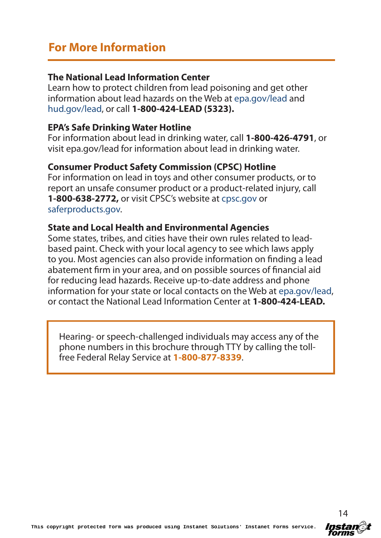### **For More Information**

### **The National Lead Information Center**

Learn how to protect children from lead poisoning and get other information about lead hazards on the Web at epa.gov/lead and hud.gov/lead, or call **1-800-424-LEAD (5323).**

### **EPA's Safe Drinking Water Hotline**

For information about lead in drinking water, call **1-800-426-4791**, or visit epa.gov/lead for information about lead in drinking water.

### **Consumer Product Safety Commission (CPSC) Hotline**

For information on lead in toys and other consumer products, or to report an unsafe consumer product or a product-related injury, call **1-800-638-2772,** or visit CPSC's website at cpsc.gov or saferproducts.gov.

#### **State and Local Health and Environmental Agencies**

Some states, tribes, and cities have their own rules related to leadbased paint. Check with your local agency to see which laws apply to you. Most agencies can also provide information on finding a lead abatement firm in your area, and on possible sources of financial aid for reducing lead hazards. Receive up-to-date address and phone information for your state or local contacts on the Web at epa.gov/lead, or contact the National Lead Information Center at **1-800-424-LEAD.**

Hearing- or speech-challenged individuals may access any of the phone numbers in this brochure through TTY by calling the tollfree Federal Relay Service at **1-800-877-8339**.

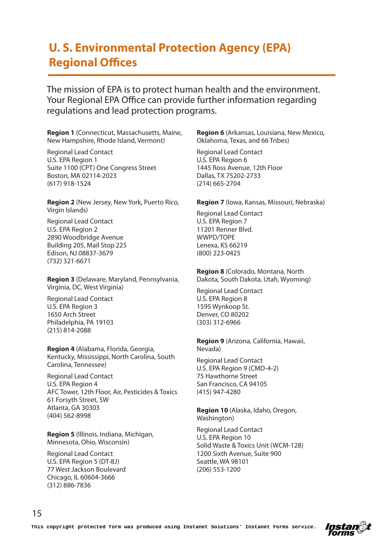# **U. S. Environmental Protection Agency (EPA) Regional Offices**

The mission of EPA is to protect human health and the environment. Your Regional EPA Office can provide further information regarding regulations and lead protection programs.

**Region 1** (Connecticut, Massachusetts, Maine, New Hampshire, Rhode Island, Vermont)

Regional Lead Contact U.S. EPA Region 1 Suite 1100 (CPT) One Congress Street Boston, MA 02114-2023 (617) 918-1524

**Region 2** (New Jersey, New York, Puerto Rico, Virgin Islands)

Regional Lead Contact U.S. EPA Region 2 2890 Woodbridge Avenue Building 205, Mail Stop 225 Edison, NJ 08837-3679 (732) 321-6671

**Region 3** (Delaware, Maryland, Pennsylvania, Virginia, DC, West Virginia)

Regional Lead Contact U.S. EPA Region 3 1650 Arch Street Philadelphia, PA 19103 (215) 814-2088

**Region 4** (Alabama, Florida, Georgia, Kentucky, Mississippi, North Carolina, South Carolina, Tennessee)

Regional Lead Contact U.S. EPA Region 4 AFC Tower, 12th Floor, Air, Pesticides & Toxics 61 Forsyth Street, SW Atlanta, GA 30303 (404) 562-8998

**Region 5** (Illinois, Indiana, Michigan, Minnesota, Ohio, Wisconsin)

Regional Lead Contact U.S. EPA Region 5 (DT-8J) 77 West Jackson Boulevard Chicago, IL 60604-3666 (312) 886-7836

15

**Region 6** (Arkansas, Louisiana, New Mexico, Oklahoma, Texas, and 66 Tribes)

Regional Lead Contact U.S. EPA Region 6 1445 Ross Avenue, 12th Floor Dallas, TX 75202-2733 (214) 665-2704

#### **Region 7** (Iowa, Kansas, Missouri, Nebraska)

Regional Lead Contact U.S. EPA Region 7 11201 Renner Blvd. WWPD/TOPE Lenexa, KS 66219 (800) 223-0425

**Region 8** (Colorado, Montana, North Dakota, South Dakota, Utah, Wyoming)

Regional Lead Contact U.S. EPA Region 8 1595 Wynkoop St. Denver, CO 80202 (303) 312-6966

**Region 9** (Arizona, California, Hawaii, Nevada)

Regional Lead Contact U.S. EPA Region 9 (CMD-4-2) 75 Hawthorne Street San Francisco, CA 94105 (415) 947-4280

**Region 10** (Alaska, Idaho, Oregon, Washington)

Regional Lead Contact U.S. EPA Region 10 Solid Waste & Toxics Unit (WCM-128) 1200 Sixth Avenue, Suite 900 Seattle, WA 98101 (206) 553-1200

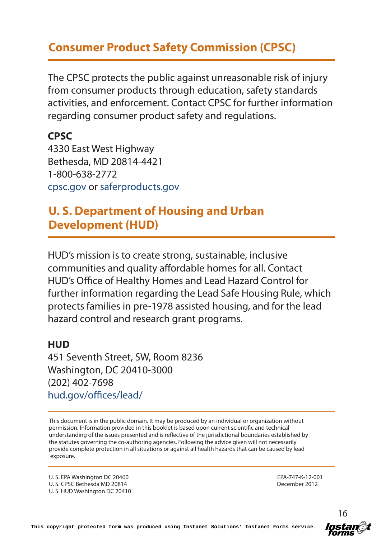# **Consumer Product Safety Commission (CPSC)**

The CPSC protects the public against unreasonable risk of injury from consumer products through education, safety standards activities, and enforcement. Contact CPSC for further information regarding consumer product safety and regulations.

### **CPSC**

4330 East West Highway Bethesda, MD 20814-4421 1-800-638-2772 cpsc.gov or saferproducts.gov

# **U. S. Department of Housing and Urban Development (HUD)**

HUD's mission is to create strong, sustainable, inclusive communities and quality affordable homes for all. Contact HUD's Office of Healthy Homes and Lead Hazard Control for further information regarding the Lead Safe Housing Rule, which protects families in pre-1978 assisted housing, and for the lead hazard control and research grant programs.

### **HUD**

451 Seventh Street, SW, Room 8236 Washington, DC 20410-3000 (202) 402-7698 hud.gov/offices/lead/

This document is in the public domain. It may be produced by an individual or organization without permission. Information provided in this booklet is based upon current scientific and technical understanding of the issues presented and is reflective of the jurisdictional boundaries established by the statutes governing the co-authoring agencies. Following the advice given will not necessarily provide complete protection in all situations or against all health hazards that can be caused by lead exposure.

U. S. EPA Washington DC 20460 EPA-747-K-12-001 U. S. CPSC Bethesda MD 20814 U. S. HUD Washington DC 20410

December 2012

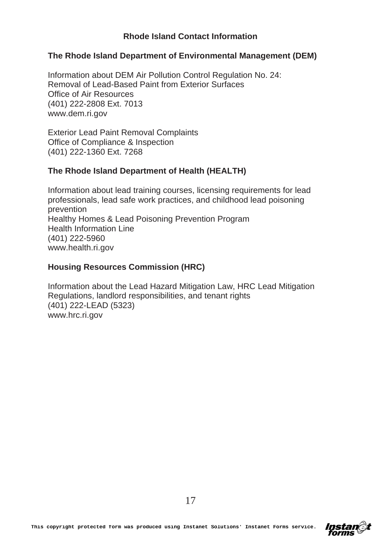#### **Rhode Island Contact Information**

#### **The Rhode Island Department of Environmental Management (DEM)**

Information about DEM Air Pollution Control Regulation No. 24: Removal of Lead-Based Paint from Exterior Surfaces Office of Air Resources (401) 222-2808 Ext. 7013 www.dem.ri.gov

Exterior Lead Paint Removal Complaints Office of Compliance & Inspection (401) 222-1360 Ext. 7268

#### **The Rhode Island Department of Health (HEALTH)**

Information about lead training courses, licensing requirements for lead professionals, lead safe work practices, and childhood lead poisoning prevention Healthy Homes & Lead Poisoning Prevention Program Health Information Line (401) 222-5960 www.health.ri.gov

#### **Housing Resources Commission (HRC)**

Information about the Lead Hazard Mitigation Law, HRC Lead Mitigation Regulations, landlord responsibilities, and tenant rights (401) 222-LEAD (5323) www.hrc.ri.gov

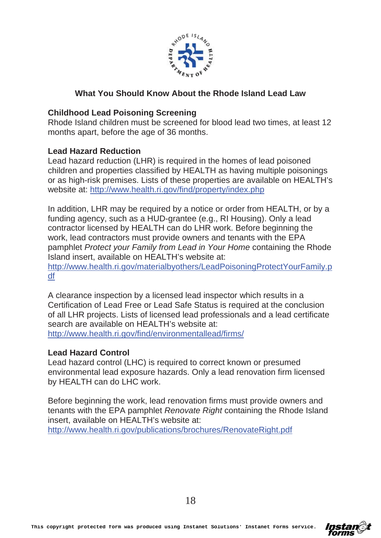

#### **What You Should Know About the Rhode Island Lead Law**

#### **Childhood Lead Poisoning Screening**

Rhode Island children must be screened for blood lead two times, at least 12 months apart, before the age of 36 months.

#### **Lead Hazard Reduction**

Lead hazard reduction (LHR) is required in the homes of lead poisoned children and properties classified by HEALTH as having multiple poisonings or as high-risk premises. Lists of these properties are available on HEALTH's website at: http://www.health.ri.gov/find/property/index.php

In addition, LHR may be required by a notice or order from HEALTH, or by a funding agency, such as a HUD-grantee (e.g., RI Housing). Only a lead contractor licensed by HEALTH can do LHR work. Before beginning the work, lead contractors must provide owners and tenants with the EPA pamphlet *Protect your Family from Lead in Your Home* containing the Rhode Island insert, available on HEALTH's website at:

http://www.health.ri.gov/materialbyothers/LeadPoisoningProtectYourFamily.p df

A clearance inspection by a licensed lead inspector which results in a Certification of Lead Free or Lead Safe Status is required at the conclusion of all LHR projects. Lists of licensed lead professionals and a lead certificate search are available on HEALTH's website at:

http://www.health.ri.gov/find/environmentallead/firms/

#### **Lead Hazard Control**

Lead hazard control (LHC) is required to correct known or presumed environmental lead exposure hazards. Only a lead renovation firm licensed by HEALTH can do LHC work.

Before beginning the work, lead renovation firms must provide owners and tenants with the EPA pamphlet *Renovate Right* containing the Rhode Island insert, available on HEALTH's website at:

http://www.health.ri.gov/publications/brochures/RenovateRight.pdf

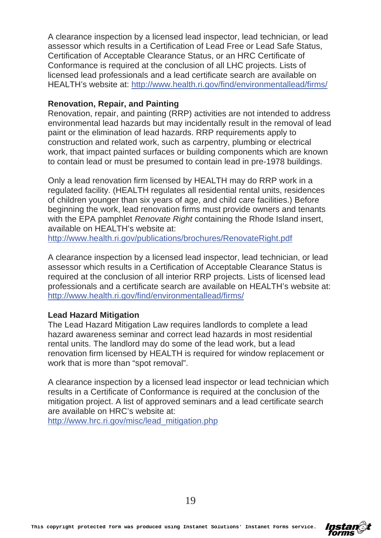A clearance inspection by a licensed lead inspector, lead technician, or lead assessor which results in a Certification of Lead Free or Lead Safe Status, Certification of Acceptable Clearance Status, or an HRC Certificate of Conformance is required at the conclusion of all LHC projects. Lists of licensed lead professionals and a lead certificate search are available on HEALTH's website at: http://www.health.ri.gov/find/environmentallead/firms/

#### **Renovation, Repair, and Painting**

Renovation, repair, and painting (RRP) activities are not intended to address environmental lead hazards but may incidentally result in the removal of lead paint or the elimination of lead hazards. RRP requirements apply to construction and related work, such as carpentry, plumbing or electrical work, that impact painted surfaces or building components which are known to contain lead or must be presumed to contain lead in pre-1978 buildings.

Only a lead renovation firm licensed by HEALTH may do RRP work in a regulated facility. (HEALTH regulates all residential rental units, residences of children younger than six years of age, and child care facilities.) Before beginning the work, lead renovation firms must provide owners and tenants with the EPA pamphlet *Renovate Right* containing the Rhode Island insert, available on HEALTH's website at:

http://www.health.ri.gov/publications/brochures/RenovateRight.pdf

A clearance inspection by a licensed lead inspector, lead technician, or lead assessor which results in a Certification of Acceptable Clearance Status is required at the conclusion of all interior RRP projects. Lists of licensed lead professionals and a certificate search are available on HEALTH's website at: http://www.health.ri.gov/find/environmentallead/firms/

#### **Lead Hazard Mitigation**

The Lead Hazard Mitigation Law requires landlords to complete a lead hazard awareness seminar and correct lead hazards in most residential rental units. The landlord may do some of the lead work, but a lead renovation firm licensed by HEALTH is required for window replacement or work that is more than "spot removal".

A clearance inspection by a licensed lead inspector or lead technician which results in a Certificate of Conformance is required at the conclusion of the mitigation project. A list of approved seminars and a lead certificate search are available on HRC's website at:

http://www.hrc.ri.gov/misc/lead\_mitigation.php

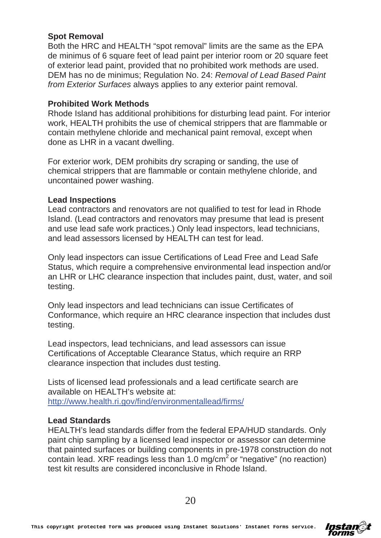#### **Spot Removal**

Both the HRC and HEALTH "spot removal" limits are the same as the EPA de minimus of 6 square feet of lead paint per interior room or 20 square feet of exterior lead paint, provided that no prohibited work methods are used. DEM has no de minimus; Regulation No. 24: *Removal of Lead Based Paint from Exterior Surfaces* always applies to any exterior paint removal.

#### **Prohibited Work Methods**

Rhode Island has additional prohibitions for disturbing lead paint. For interior work, HEALTH prohibits the use of chemical strippers that are flammable or contain methylene chloride and mechanical paint removal, except when done as LHR in a vacant dwelling.

For exterior work, DEM prohibits dry scraping or sanding, the use of chemical strippers that are flammable or contain methylene chloride, and uncontained power washing.

#### **Lead Inspections**

Lead contractors and renovators are not qualified to test for lead in Rhode Island. (Lead contractors and renovators may presume that lead is present and use lead safe work practices.) Only lead inspectors, lead technicians, and lead assessors licensed by HEALTH can test for lead.

Only lead inspectors can issue Certifications of Lead Free and Lead Safe Status, which require a comprehensive environmental lead inspection and/or an LHR or LHC clearance inspection that includes paint, dust, water, and soil testing.

Only lead inspectors and lead technicians can issue Certificates of Conformance, which require an HRC clearance inspection that includes dust testing.

Lead inspectors, lead technicians, and lead assessors can issue Certifications of Acceptable Clearance Status, which require an RRP clearance inspection that includes dust testing.

Lists of licensed lead professionals and a lead certificate search are available on HEALTH's website at: http://www.health.ri.gov/find/environmentallead/firms/

#### **Lead Standards**

HEALTH's lead standards differ from the federal EPA/HUD standards. Only paint chip sampling by a licensed lead inspector or assessor can determine that painted surfaces or building components in pre-1978 construction do not contain lead. XRF readings less than 1.0 mg/ $cm<sup>2</sup>$  or "negative" (no reaction) test kit results are considered inconclusive in Rhode Island.



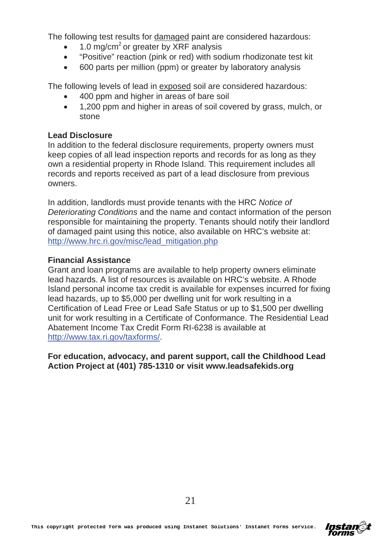The following test results for damaged paint are considered hazardous:

- 1.0 mg/cm<sup>2</sup> or greater by XRF analysis
- x "Positive" reaction (pink or red) with sodium rhodizonate test kit
- 600 parts per million (ppm) or greater by laboratory analysis

The following levels of lead in exposed soil are considered hazardous:

- 400 ppm and higher in areas of bare soil
- 1,200 ppm and higher in areas of soil covered by grass, mulch, or stone

#### **Lead Disclosure**

In addition to the federal disclosure requirements, property owners must keep copies of all lead inspection reports and records for as long as they own a residential property in Rhode Island. This requirement includes all records and reports received as part of a lead disclosure from previous owners.

In addition, landlords must provide tenants with the HRC *Notice of Deteriorating Conditions* and the name and contact information of the person responsible for maintaining the property. Tenants should notify their landlord of damaged paint using this notice, also available on HRC's website at: http://www.hrc.ri.gov/misc/lead\_mitigation.php

#### **Financial Assistance**

Grant and loan programs are available to help property owners eliminate lead hazards. A list of resources is available on HRC's website. A Rhode Island personal income tax credit is available for expenses incurred for fixing lead hazards, up to \$5,000 per dwelling unit for work resulting in a Certification of Lead Free or Lead Safe Status or up to \$1,500 per dwelling unit for work resulting in a Certificate of Conformance. The Residential Lead Abatement Income Tax Credit Form RI-6238 is available at http://www.tax.ri.gov/taxforms/.

**For education, advocacy, and parent support, call the Childhood Lead Action Project at (401) 785-1310 or visit www.leadsafekids.org**